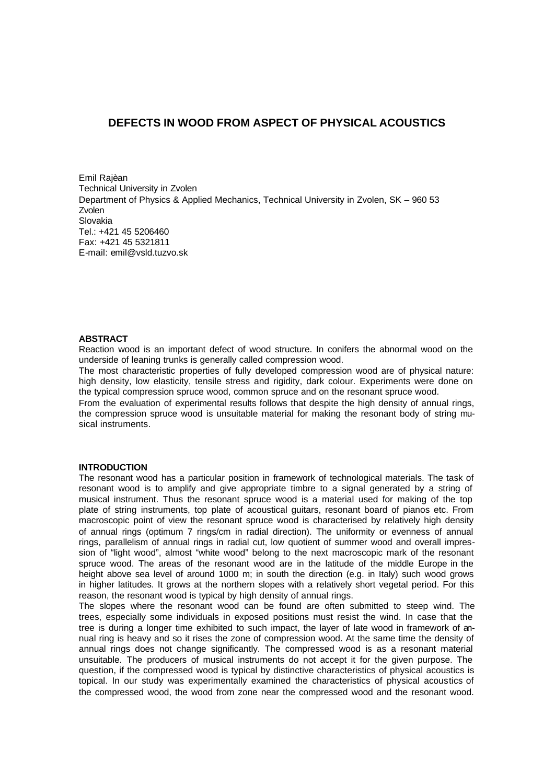# **DEFECTS IN WOOD FROM ASPECT OF PHYSICAL ACOUSTICS**

Emil Rajèan Technical University in Zvolen Department of Physics & Applied Mechanics, Technical University in Zvolen, SK – 960 53 Zvolen Slovakia Tel.: +421 45 5206460 Fax: +421 45 5321811 E-mail: emil@vsld.tuzvo.sk

### **ABSTRACT**

Reaction wood is an important defect of wood structure. In conifers the abnormal wood on the underside of leaning trunks is generally called compression wood.

The most characteristic properties of fully developed compression wood are of physical nature: high density, low elasticity, tensile stress and rigidity, dark colour. Experiments were done on the typical compression spruce wood, common spruce and on the resonant spruce wood.

From the evaluation of experimental results follows that despite the high density of annual rings, the compression spruce wood is unsuitable material for making the resonant body of string musical instruments.

#### **INTRODUCTION**

The resonant wood has a particular position in framework of technological materials. The task of resonant wood is to amplify and give appropriate timbre to a signal generated by a string of musical instrument. Thus the resonant spruce wood is a material used for making of the top plate of string instruments, top plate of acoustical guitars, resonant board of pianos etc. From macroscopic point of view the resonant spruce wood is characterised by relatively high density of annual rings (optimum 7 rings/cm in radial direction). The uniformity or evenness of annual rings, parallelism of annual rings in radial cut, low quotient of summer wood and overall impression of "light wood", almost "white wood" belong to the next macroscopic mark of the resonant spruce wood. The areas of the resonant wood are in the latitude of the middle Europe in the height above sea level of around 1000 m; in south the direction (e.g. in Italy) such wood grows in higher latitudes. It grows at the northern slopes with a relatively short vegetal period. For this reason, the resonant wood is typical by high density of annual rings.

The slopes where the resonant wood can be found are often submitted to steep wind. The trees, especially some individuals in exposed positions must resist the wind. In case that the tree is during a longer time exhibited to such impact, the layer of late wood in framework of annual ring is heavy and so it rises the zone of compression wood. At the same time the density of annual rings does not change significantly. The compressed wood is as a resonant material unsuitable. The producers of musical instruments do not accept it for the given purpose. The question, if the compressed wood is typical by distinctive characteristics of physical acoustics is topical. In our study was experimentally examined the characteristics of physical acoustics of the compressed wood, the wood from zone near the compressed wood and the resonant wood.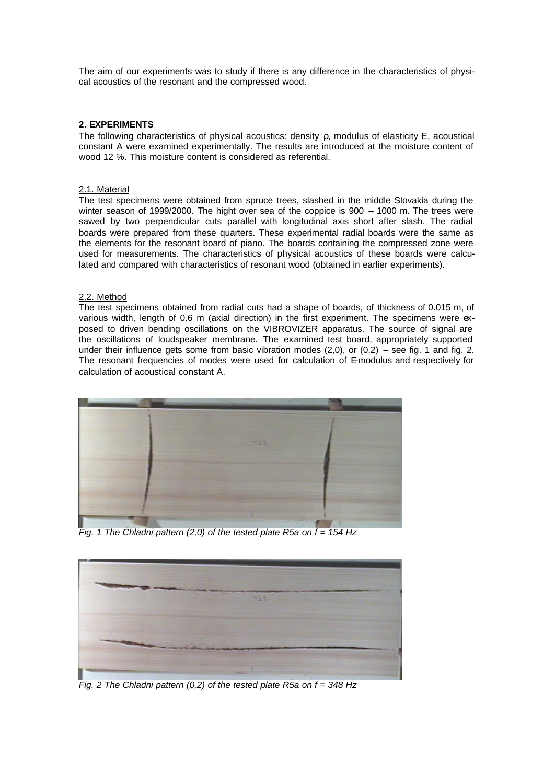The aim of our experiments was to study if there is any difference in the characteristics of physical acoustics of the resonant and the compressed wood.

### **2. EXPERIMENTS**

The following characteristics of physical acoustics: density ρ, modulus of elasticity E, acoustical constant A were examined experimentally. The results are introduced at the moisture content of wood 12 %. This moisture content is considered as referential.

## 2.1. Material

The test specimens were obtained from spruce trees, slashed in the middle Slovakia during the winter season of 1999/2000. The hight over sea of the coppice is 900 – 1000 m. The trees were sawed by two perpendicular cuts parallel with longitudinal axis short after slash. The radial boards were prepared from these quarters. These experimental radial boards were the same as the elements for the resonant board of piano. The boards containing the compressed zone were used for measurements. The characteristics of physical acoustics of these boards were calculated and compared with characteristics of resonant wood (obtained in earlier experiments).

## 2.2. Method

The test specimens obtained from radial cuts had a shape of boards, of thickness of 0.015 m, of various width, length of 0.6 m (axial direction) in the first experiment. The specimens were exposed to driven bending oscillations on the VIBROVIZER apparatus. The source of signal are the oscillations of loudspeaker membrane. The examined test board, appropriately supported under their influence gets some from basic vibration modes  $(2,0)$ , or  $(0,2)$  – see fig. 1 and fig. 2. The resonant frequencies of modes were used for calculation of E-modulus and respectively for calculation of acoustical constant A.



*Fig. 1 The Chladni pattern (2,0) of the tested plate R5a on f = 154 Hz*



*Fig. 2 The Chladni pattern (0,2) of the tested plate R5a on f = 348 Hz*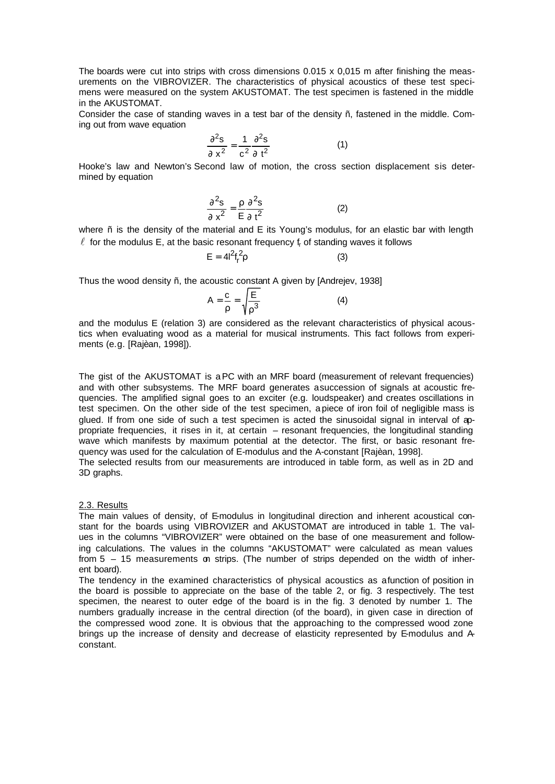The boards were cut into strips with cross dimensions 0.015 x 0,015 m after finishing the measurements on the VIBROVIZER. The characteristics of physical acoustics of these test specimens were measured on the system AKUSTOMAT. The test specimen is fastened in the middle in the AKUSTOMAT.

Consider the case of standing waves in a test bar of the density ñ, fastened in the middle. Coming out from wave equation

$$
\frac{\partial^2 s}{\partial x^2} = \frac{1}{c^2} \frac{\partial^2 s}{\partial t^2}
$$
 (1)

Hooke's law and Newton's Second law of motion, the cross section displacement sis determined by equation

$$
\frac{\partial^2 s}{\partial x^2} = \frac{\rho}{E} \frac{\partial^2 s}{\partial t^2}
$$
 (2)

where ñ is the density of the material and E its Young's modulus, for an elastic bar with length  $\ell$  for the modulus E, at the basic resonant frequency f<sub>r</sub> of standing waves it follows

$$
E = 4l^2 f_r^2 \rho \tag{3}
$$

Thus the wood density ñ, the acoustic constant A given by [Andrejev, 1938]

$$
A = \frac{c}{\rho} = \sqrt{\frac{E}{\rho^3}}
$$
 (4)

and the modulus E (relation 3) are considered as the relevant characteristics of physical acoustics when evaluating wood as a material for musical instruments. This fact follows from experiments (e.g. [Rajèan, 1998]).

The gist of the AKUSTOMAT is aPC with an MRF board (measurement of relevant frequencies) and with other subsystems. The MRF board generates asuccession of signals at acoustic frequencies. The amplified signal goes to an exciter (e.g. loudspeaker) and creates oscillations in test specimen. On the other side of the test specimen, a piece of iron foil of negligible mass is glued. If from one side of such a test specimen is acted the sinusoidal signal in interval of appropriate frequencies, it rises in it, at certain – resonant frequencies, the longitudinal standing wave which manifests by maximum potential at the detector. The first, or basic resonant frequency was used for the calculation of E-modulus and the A-constant [Rajèan, 1998].

The selected results from our measurements are introduced in table form, as well as in 2D and 3D graphs.

### 2.3. Results

The main values of density, of E-modulus in longitudinal direction and inherent acoustical constant for the boards using VIBROVIZER and AKUSTOMAT are introduced in table 1. The values in the columns "VIBROVIZER" were obtained on the base of one measurement and following calculations. The values in the columns "AKUSTOMAT" were calculated as mean values from 5 – 15 measurements on strips. (The number of strips depended on the width of inherent board).

The tendency in the examined characteristics of physical acoustics as afunction of position in the board is possible to appreciate on the base of the table 2, or fig. 3 respectively. The test specimen, the nearest to outer edge of the board is in the fig. 3 denoted by number 1. The numbers gradually increase in the central direction (of the board), in given case in direction of the compressed wood zone. It is obvious that the approaching to the compressed wood zone brings up the increase of density and decrease of elasticity represented by E-modulus and Aconstant.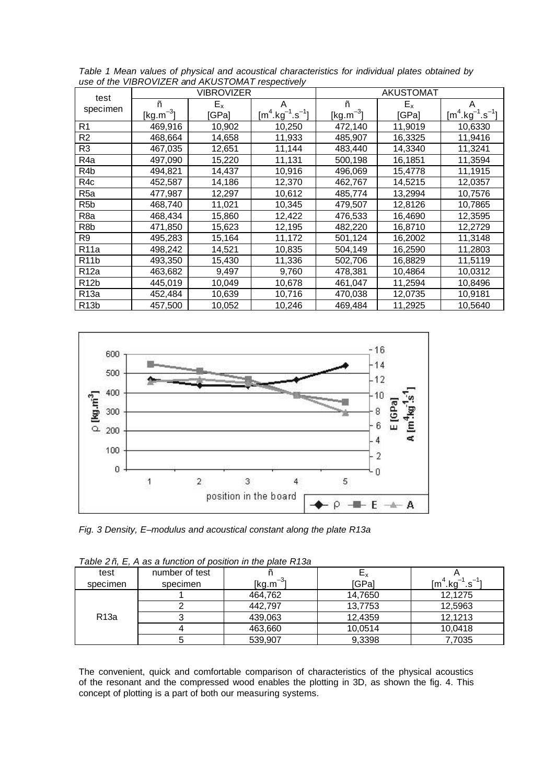| test<br>specimen  |                      | <b>VIBROVIZER</b> |                 | <b>AKUSTOMAT</b> |         |                                        |  |  |
|-------------------|----------------------|-------------------|-----------------|------------------|---------|----------------------------------------|--|--|
|                   | ñ                    | $E_{x}$           | A               | ñ                | $E_{x}$ | A                                      |  |  |
|                   | $\sqrt{[kg.m^{-3}]}$ | [GPa]             | $[m4.kg-1.s-1]$ | $[kg.m^{-3}]$    | [GPa]   | $[m^4 \text{.kg}^{-1} \text{.s}^{-1}]$ |  |  |
| R1                | 469,916              | 10,902            | 10,250          | 472,140          | 11,9019 | 10,6330                                |  |  |
| R <sub>2</sub>    | 468,664              | 14,658            | 11,933          | 485,907          | 16,3325 | 11,9416                                |  |  |
| R3                | 467,035              | 12,651            | 11,144          | 483,440          | 14,3340 | 11,3241                                |  |  |
| R4a               | 497,090              | 15,220            | 11,131          | 500,198          | 16,1851 | 11,3594                                |  |  |
| R4b               | 494,821              | 14,437            | 10,916          | 496,069          | 15,4778 | 11,1915                                |  |  |
| R4c               | 452,587              | 14,186            | 12,370          | 462,767          | 14,5215 | 12,0357                                |  |  |
| R <sub>5a</sub>   | 477,987              | 12,297            | 10,612          | 485,774          | 13,2994 | 10,7576                                |  |  |
| R <sub>5</sub> b  | 468,740              | 11,021            | 10,345          | 479,507          | 12,8126 | 10,7865                                |  |  |
| R <sub>8a</sub>   | 468,434              | 15,860            | 12,422          | 476,533          | 16,4690 | 12,3595                                |  |  |
| R8b               | 471,850              | 15,623            | 12,195          | 482,220          | 16,8710 | 12,2729                                |  |  |
| R9                | 495,283              | 15,164            | 11,172          | 501,124          | 16,2002 | 11,3148                                |  |  |
| R <sub>11</sub> a | 498,242              | 14,521            | 10,835          | 504,149          | 16,2590 | 11,2803                                |  |  |
| R <sub>11</sub> b | 493,350              | 15,430            | 11,336          | 502,706          | 16,8829 | 11,5119                                |  |  |
| R <sub>12a</sub>  | 463,682              | 9,497             | 9,760           | 478,381          | 10,4864 | 10,0312                                |  |  |
| R <sub>12</sub> b | 445,019              | 10,049            | 10,678          | 461,047          | 11,2594 | 10,8496                                |  |  |
| R <sub>13a</sub>  | 452,484              | 10,639            | 10,716          | 470,038          | 12,0735 | 10,9181                                |  |  |
| R <sub>13</sub> b | 457,500              | 10,052            | 10,246          | 469,484          | 11,2925 | 10,5640                                |  |  |

*Table 1 Mean values of physical and acoustical characteristics for individual plates obtained by use of the VIBROVIZER and AKUSTOMAT respectively*



*Fig. 3 Density, E–modulus and acoustical constant along the plate R13a*

|                  |                | able 2 n. E. A as a lunction of position in the plate R i 3a |                           |         |
|------------------|----------------|--------------------------------------------------------------|---------------------------|---------|
| test             | number of test |                                                              | $\mathsf{E}_{\mathsf{x}}$ |         |
| specimen         | specimen       | [kg.m $^{-3}$ ]                                              | [GPa]                     | [m¯.kg] |
| R <sub>13a</sub> |                | 464,762                                                      | 14,7650                   | 12.1275 |
|                  |                | 442,797                                                      | 13,7753                   | 12,5963 |
|                  |                | 439,063                                                      | 12,4359                   | 12.1213 |
|                  |                | 463,660                                                      | 10,0514                   | 10.0418 |
|                  |                | 539,907                                                      | 9,3398                    | 7,7035  |

| Table 2 ñ, E, A as a function of position in the plate R13a |  |  |  |  |  |
|-------------------------------------------------------------|--|--|--|--|--|
|                                                             |  |  |  |  |  |

The convenient, quick and comfortable comparison of characteristics of the physical acoustics of the resonant and the compressed wood enables the plotting in 3D, as shown the fig. 4. This concept of plotting is a part of both our measuring systems.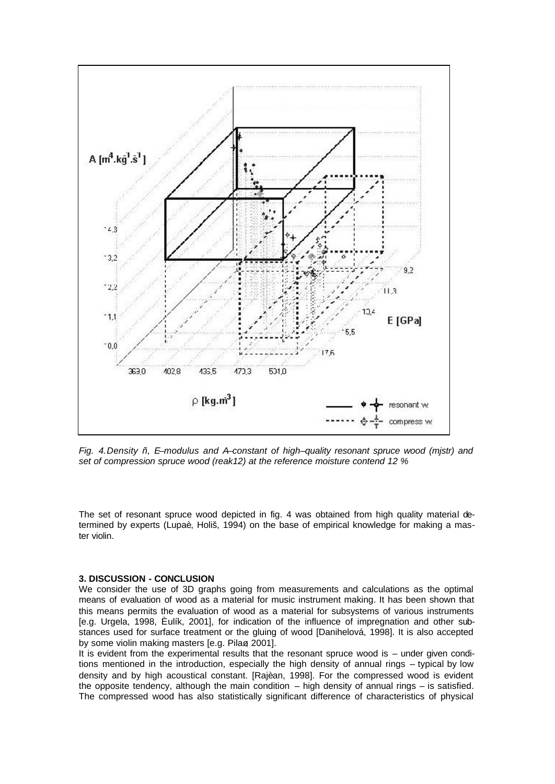

*Fig. 4.Density ñ, E–modulus and A–constant of high–quality resonant spruce wood (mjstr) and set of compression spruce wood (reak12) at the reference moisture contend 12 %*

The set of resonant spruce wood depicted in fig. 4 was obtained from high quality material determined by experts (Lupaè, Holiš, 1994) on the base of empirical knowledge for making a master violin.

## **3. DISCUSSION - CONCLUSION**

We consider the use of 3D graphs going from measurements and calculations as the optimal means of evaluation of wood as a material for music instrument making. It has been shown that this means permits the evaluation of wood as a material for subsystems of various instruments [e.g. Urgela, 1998, Èulík, 2001], for indication of the influence of impregnation and other substances used for surface treatment or the gluing of wood [Danihelová, 1998]. It is also accepted by some violin making masters [e.g. Pilaø, 2001].

It is evident from the experimental results that the resonant spruce wood is – under given conditions mentioned in the introduction, especially the high density of annual rings – typical by low density and by high acoustical constant. [Rajèan, 1998]. For the compressed wood is evident the opposite tendency, although the main condition  $-$  high density of annual rings  $-$  is satisfied. The compressed wood has also statistically significant difference of characteristics of physical